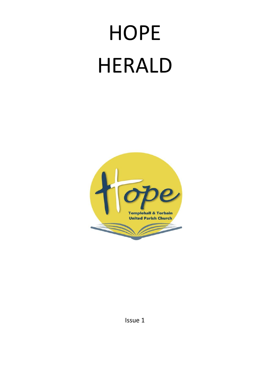# **HOPE** HERALD



Issue 1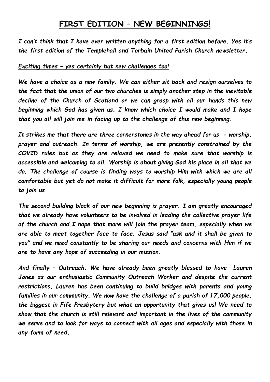## **FIRST EDITION – NEW BEGINNINGS!**

*I can't think that I have ever written anything for a first edition before. Yes it's the first edition of the Templehall and Torbain United Parish Church newsletter.*

#### *Exciting times – yes certainly but new challenges too!*

*We have a choice as a new family. We can either sit back and resign ourselves to the fact that the union of our two churches is simply another step in the inevitable decline of the Church of Scotland or we can grasp with all our hands this new beginning which God has given us. I know which choice I would make and I hope that you all will join me in facing up to the challenge of this new beginning.*

*It strikes me that there are three cornerstones in the way ahead for us - worship, prayer and outreach. In terms of worship, we are presently constrained by the COVID rules but as they are relaxed we need to make sure that worship is accessible and welcoming to all. Worship is about giving God his place in all that we do. The challenge of course is finding ways to worship Him with which we are all comfortable but yet do not make it difficult for more folk, especially young people to join us.*

*The second building block of our new beginning is prayer. I am greatly encouraged that we already have volunteers to be involved in leading the collective prayer life of the church and I hope that more will join the prayer team, especially when we are able to meet together face to face. Jesus said "ask and it shall be given to you" and we need constantly to be sharing our needs and concerns with Him if we are to have any hope of succeeding in our mission.*

*And finally – Outreach. We have already been greatly blessed to have Lauren Jones as our enthusiastic Community Outreach Worker and despite the current restrictions, Lauren has been continuing to build bridges with parents and young families in our community. We now have the challenge of a parish of 17,000 people, the biggest in Fife Presbytery but what an opportunity that gives us! We need to show that the church is still relevant and important in the lives of the community we serve and to look for ways to connect with all ages and especially with those in any form of need.*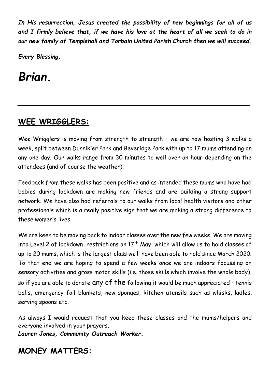*In His resurrection, Jesus created the possibility of new beginnings for all of us and I firmly believe that, if we have his love at the heart of all we seek to do in our new family of Templehall and Torbain United Parish Church then we will succeed.*

*Every Blessing,*

*Brian.*

# **WEE WRIGGLERS:**

Wee Wrigglers is moving from strength to strength - we are now hosting 3 walks a week, split between Dunnikier Park and Beveridge Park with up to 17 mums attending on any one day. Our walks range from 30 minutes to well over an hour depending on the attendees (and of course the weather).

*\_\_\_\_\_\_\_\_\_\_\_\_\_\_\_\_\_\_\_\_\_\_\_\_\_\_\_\_\_\_\_\_\_\_\_\_*

Feedback from these walks has been positive and as intended these mums who have had babies during lockdown are making new friends and are building a strong support network. We have also had referrals to our walks from local health visitors and other professionals which is a really positive sign that we are making a strong difference to these women's lives.

We are keen to be moving back to indoor classes over the new few weeks. We are moving into Level 2 of lockdown restrictions on 17<sup>th</sup> May, which will allow us to hold classes of up to 20 mums, which is the largest class we'll have been able to hold since March 2020. To that end we are hoping to spend a few weeks once we are indoors focussing on sensory activities and gross motor skills (i.e. those skills which involve the whole body), so if you are able to donate any of the following it would be much appreciated – tennis balls, emergency foil blankets, new sponges, kitchen utensils such as whisks, ladles, serving spoons etc.

As always I would request that you keep these classes and the mums/helpers and everyone involved in your prayers.

*Lauren Jones, Community Outreach Worker.*

# **MONEY MATTERS:**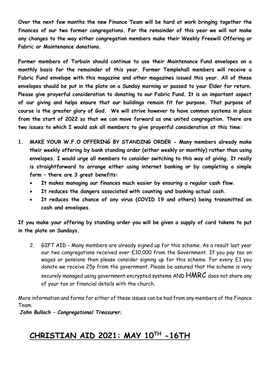**Over the next few months the new Finance Team will be hard at work bringing together the finances of our two former congregations. For the remainder of this year we will not make any changes to the way either congregation members make their Weekly Freewill Offering or Fabric or Maintenance donations.**

**Former members of Torbain should continue to use their Maintenance Fund envelopes on a monthly basis for the remainder of this year. Former Templehall members will receive a Fabric Fund envelope with this magazine and other magazines issued this year. All of these envelopes should be put in the plate on a Sunday morning or passed to your Elder for return. Please give prayerful consideration to donating to our Fabric Fund. It is an important aspect of our giving and helps ensure that our buildings remain fit for purpose. That purpose of course is the greater glory of God. We will strive however to have common systems in place from the start of 2022 so that we can move forward as one united congregation. There are two issues to which I would ask all members to give prayerful consideration at this time:**

- **1. MAKE YOUR W.F.O OFFERING BY STANDING ORDER - Many members already make their weekly offering by bank standing order (either weekly or monthly) rather than using envelopes. I would urge all members to consider switching to this way of giving. It really is straightforward to arrange either using internet banking or by completing a simple form – there are 3 great benefits:**
	- **It makes managing our finances much easier by ensuring a regular cash flow.**
	- **It reduces the dangers associated with counting and banking actual cash.**
	- **It reduces the chance of any virus (COVID 19 and others) being transmitted on cash and envelopes.**

**If you make your offering by standing order you will be given a supply of card tokens to put in the plate on Sundays.**

2. GIFT AID - Many members are already signed up for this scheme. As a result last year our two congregations received over £10,000 from the Government. If you pay tax on wages or pensions then please consider signing up for this scheme. For every  $E1$  you donate we receive 25p from the government. Please be assured that the scheme is very securely managed using government encrypted systems AND  $\mathsf{HMRC}$  does not share any of your tax or financial details with the church.

More information and forms for either of these issues can be had from any members of the Finance Team.

*John Bulloch – Congregational Treasurer.*

## **CHRISTIAN AID 2021: MAY 10TH -16TH**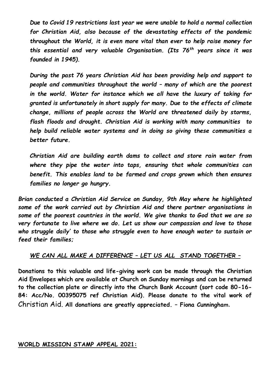*Due to Covid 19 restrictions last year we were unable to hold a normal collection for Christian Aid, also because of the devastating effects of the pandemic throughout the World, it is even more vital than ever to help raise money for this essential and very valuable Organisation. (Its 76th years since it was founded in 1945).*

*During the past 76 years Christian Aid has been providing help and support to people and communities throughout the world – many of which are the poorest in the world. Water for instance which we all have the luxury of taking for granted is unfortunately in short supply for many. Due to the effects of climate change, millions of people across the World are threatened daily by storms, flash floods and drought. Christian Aid is working with many communities to help build reliable water systems and in doing so giving these communities a better future.*

*Christian Aid are building earth dams to collect and store rain water from where they pipe the water into taps, ensuring that whole communities can benefit. This enables land to be farmed and crops grown which then ensures families no longer go hungry.*

*Brian conducted a Christian Aid Service on Sunday, 9th May where he highlighted some of the work carried out by Christian Aid and there partner organisations in some of the poorest countries in the world. We give thanks to God that we are so very fortunate to live where we do. Let us show our compassion and love to those who struggle daily' to those who struggle even to have enough water to sustain or feed their families;*

#### *WE CAN ALL MAKE A DIFFERENCE – LET US ALL STAND TOGETHER –*

**Donations to this valuable and life-giving work can be made through the Christian Aid Envelopes which are available at Church on Sunday mornings and can be returned to the collection plate or directly into the Church Bank Account (sort code 80-16- 84: Acc/No. 00395075 ref Christian Aid). Please donate to the vital work of**  Christian Aid. **All donations are greatly appreciated. – Fiona Cunningham.**

#### **WORLD MISSION STAMP APPEAL 2021:**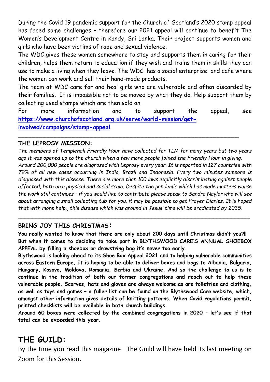During the Covid 19 pandemic support for the Church of Scotland's 2020 stamp appeal has faced some challenges – therefore our 2021 appeal will continue to benefit The Women's Development Centre in Kandy, Sri Lanka. Their project supports women and girls who have been victims of rape and sexual violence.

The WDC gives these women somewhere to stay and supports them in caring for their children, helps them return to education if they wish and trains them in skills they can use to make a living when they leave. The WDC has a social enterprise and cafe where the women can work and sell their hand-made products.

The team at WDC care for and heal girls who are vulnerable and often discarded by their families. It is impossible not to be moved by what they do. Help support them by collecting used stamps which are then sold on.

For more information and to support the appeal, see **[https://www.churchofscotland.org.uk/serve/world-mission/get](https://www.churchofscotland.org.uk/serve/world-mission/get-involved/campaigns/stamp-appeal)[involved/campaigns/stamp-appeal](https://www.churchofscotland.org.uk/serve/world-mission/get-involved/campaigns/stamp-appeal)**

\_\_\_\_\_\_\_\_\_\_\_\_\_\_\_\_\_\_\_\_\_\_\_\_\_\_\_\_\_\_\_\_\_\_\_\_\_\_\_\_\_\_\_\_\_\_\_\_\_\_\_\_\_\_\_\_\_\_\_\_\_

#### **THE LEPROSY MISSION:**

*The members of Templehall Friendly Hour have collected for TLM for many years but two years ago it was opened up to the church when a few more people joined the Friendly Hour in giving. Around 200,000 people are diagnosed with Leprosy every year. It is reported in 127 countries with 79% of all new cases occurring in India, Brazil and Indonesia. Every two minutes someone is diagnosed with this disease. There are more than 100 laws explicitly discriminating against people affected, both on a physical and social scale. Despite the pandemic which has made matters worse the work still continues – if you would like to contribute please speak to Sandra Naylor who will see about arranging a small collecting tub for you, it may be possible to get Prayer Diaries. It is hoped that with more help,, this disease which was around in Jesus' time will be eradicated by 2035.*

#### **BRING JOY THIS CHRISTMAS:**

**You really wanted to know that there are only about 200 days until Christmas didn't you?!! But when it comes to deciding to take part in BLYTHSWOOD CARE'S ANNUAL SHOEBOX APPEAL by filling a shoebox or drawstring bag it's never too early.** 

*\_\_\_\_\_\_\_\_\_\_\_\_\_\_\_\_\_\_\_\_\_\_\_\_\_\_\_\_\_\_\_\_\_\_\_\_\_\_\_\_\_\_\_\_\_\_\_\_\_\_\_\_\_\_\_\_\_\_\_\_\_\_\_\_*

**Blythswood is looking ahead to its Shoe Box Appeal 2021 and to helping vulnerable communities across Eastern Europe. It is hoping to be able to deliver boxes and bags to Albania, Bulgaria, Hungary, Kosovo, Moldova, Romania, Serbia and Ukraine. And so the challenge to us is to continue in the tradition of both our former congregations and reach out to help these vulnerable people. Scarves, hats and gloves are always welcome as are toiletries and clothing, as well as toys and games – a fuller list can be found on the Blythswood Care website, which, amongst other information gives details of knitting patterns. When Covid regulations permit, printed checklists will be available in both church buildings.**

**Around 60 boxes were collected by the combined congregations in 2020 – let's see if that total can be exceeded this year.**

# **THE GUILD:**

By the time you read this magazine The Guild will have held its last meeting on Zoom for this Session.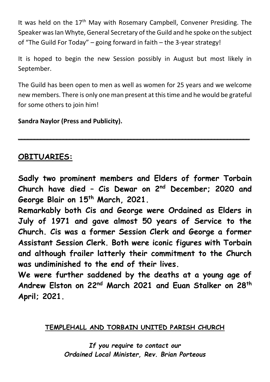It was held on the 17<sup>th</sup> May with Rosemary Campbell, Convener Presiding. The Speaker was Ian Whyte, General Secretary of the Guild and he spoke on the subject of "The Guild For Today" – going forward in faith – the 3-year strategy!

It is hoped to begin the new Session possibly in August but most likely in September.

The Guild has been open to men as well as women for 25 years and we welcome new members. There is only one man present at this time and he would be grateful for some others to join him!

**\_\_\_\_\_\_\_\_\_\_\_\_\_\_\_\_\_\_\_\_\_\_\_\_\_\_\_\_\_\_\_\_\_\_\_\_\_\_\_\_\_\_\_\_\_\_\_\_\_\_\_\_\_\_\_\_\_\_\_\_\_\_\_\_\_\_\_\_\_\_\_\_**

**Sandra Naylor (Press and Publicity).**

## **OBITUARIES:**

**Sadly two prominent members and Elders of former Torbain Church have died – Cis Dewar on 2nd December; 2020 and George Blair on 15th March, 2021.**

**Remarkably both Cis and George were Ordained as Elders in July of 1971 and gave almost 50 years of Service to the Church. Cis was a former Session Clerk and George a former Assistant Session Clerk. Both were iconic figures with Torbain and although frailer latterly their commitment to the Church was undiminished to the end of their lives.**

**We were further saddened by the deaths at a young age of Andrew Elston on 22nd March 2021 and Euan Stalker on 28th April; 2021.**

### **TEMPLEHALL AND TORBAIN UNITED PARISH CHURCH**

*If you require to contact our Ordained Local Minister, Rev. Brian Porteous*